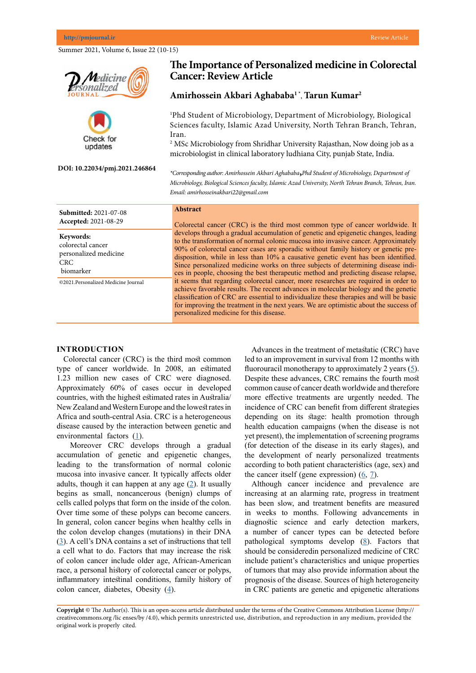|                                                                                    | The Importance of Personalized medicine in Colorectal<br><b>Cancer: Review Article</b>                                                                                                                                                                                                                                                                                                                                                                                                                                                                                                                                                                                                                                                                                                                                                                                                                                                                                                                                                          |
|------------------------------------------------------------------------------------|-------------------------------------------------------------------------------------------------------------------------------------------------------------------------------------------------------------------------------------------------------------------------------------------------------------------------------------------------------------------------------------------------------------------------------------------------------------------------------------------------------------------------------------------------------------------------------------------------------------------------------------------------------------------------------------------------------------------------------------------------------------------------------------------------------------------------------------------------------------------------------------------------------------------------------------------------------------------------------------------------------------------------------------------------|
|                                                                                    | Amirhossein Akbari Aghababa <sup>1</sup> *, Tarun Kumar <sup>2</sup>                                                                                                                                                                                                                                                                                                                                                                                                                                                                                                                                                                                                                                                                                                                                                                                                                                                                                                                                                                            |
| Check for<br>updates<br>DOI: 10.22034/pmj.2021.246864                              | <sup>1</sup> Phd Student of Microbiology, Department of Microbiology, Biological<br>Sciences faculty, Islamic Azad University, North Tehran Branch, Tehran,<br>Iran.<br><sup>2</sup> MSc Microbiology from Shridhar University Rajasthan, Now doing job as a<br>microbiologist in clinical laboratory ludhiana City, punjab State, India.<br>*Corresponding author: Amirhossein Akbari Aghababa, Phd Student of Microbiology, Department of<br>Microbiology, Biological Sciences faculty, Islamic Azad University, North Tehran Branch, Tehran, Iran.<br>Email: amirhosseinakbari22@gmail.com                                                                                                                                                                                                                                                                                                                                                                                                                                                   |
| <b>Submitted: 2021-07-08</b><br>Accepted: 2021-08-29                               | <b>Abstract</b><br>Colorectal cancer (CRC) is the third most common type of cancer worldwide. It<br>develops through a gradual accumulation of genetic and epigenetic changes, leading<br>to the transformation of normal colonic mucosa into invasive cancer. Approximately<br>90% of colorectal cancer cases are sporadic without family history or genetic pre-<br>disposition, while in less than 10% a causative genetic event has been identified.<br>Since personalized medicine works on three subjects of determining disease indi-<br>ces in people, choosing the best therapeutic method and predicting disease relapse,<br>it seems that regarding colorectal cancer, more researches are required in order to<br>achieve favorable results. The recent advances in molecular biology and the genetic<br>classification of CRC are essential to individualize these therapies and will be basic<br>for improving the treatment in the next years. We are optimistic about the success of<br>personalized medicine for this disease. |
| Keywords:<br>colorectal cancer<br>personalized medicine<br><b>CRC</b><br>biomarker |                                                                                                                                                                                                                                                                                                                                                                                                                                                                                                                                                                                                                                                                                                                                                                                                                                                                                                                                                                                                                                                 |
| @2021.Personalized Medicine Journal                                                |                                                                                                                                                                                                                                                                                                                                                                                                                                                                                                                                                                                                                                                                                                                                                                                                                                                                                                                                                                                                                                                 |

## **INTRODUCTION**

Colorectal cancer (CRC) is the third most common type of cancer worldwide. In 2008, an estimated 1.23 million new cases of CRC were diagnosed. Approximately 60% of cases occur in developed countries, with the highest estimated rates in Australia/ New Zealand and Western Europe and the lowest rates in Africa and south-central Asia. CRC is a heterogeneous disease caused by the interaction between genetic and environmental factors  $(1)$  $(1)$ .

 Moreover CRC develops through a gradual accumulation of genetic and epigenetic changes, leading to the transformation of normal colonic mucosa into invasive cancer. It typically affects older adults, though it can happen at any age  $(2)$  $(2)$ . It usually begins as small, noncancerous (benign) clumps of cells called polyps that form on the inside of the colon. Over time some of these polyps can become cancers. In general, colon cancer begins when healthy cells in the colon develop changes (mutations) in their DNA [\(3](http://3.	Amado RG, Wolf M, Peeters M, Van Cutsem E, Siena S, Freeman DJ, Juan T, Sikorski R, Suggs S, Radinsky R, Patterson SD. Wild-type KRAS is required for panitumumab efficacy in patients with metastatic colorectal cancer.)). A cell's DNA contains a set of instructions that tell a cell what to do. Factors that may increase the risk of colon cancer include older age, African-American race, a personal history of colorectal cancer or polyps, inflammatory intestinal conditions, family history of colon cancer, diabetes, Obesity  $(4)$  $(4)$ .

Advances in the treatment of metastatic (CRC) have led to an improvement in survival from 12 months with fluorouracil monotherapy to approximately 2 years  $(5)$  $(5)$ . Despite these advances, CRC remains the fourth most common cause of cancer death worldwide and therefore more effective treatments are urgently needed. The incidence of CRC can benefit from different strategies depending on its stage: health promotion through health education campaigns (when the disease is not yet present), the implementation of screening programs (for detection of the disease in its early stages), and the development of nearly personalized treatments according to both patient characteristics (age, sex) and the cancer itself (gene expression)  $(6, 7)$  $(6, 7)$  $(6, 7)$ .

Although cancer incidence and prevalence are increasing at an alarming rate, progress in treatment has been slow, and treatment benefits are measured in weeks to months. Following advancements in diagnostic science and early detection markers, a number of cancer types can be detected before pathological symptoms develop  $(8)$  $(8)$ . Factors that should be consideredin personalized medicine of CRC include patient's characteristics and unique properties of tumors that may also provide information about the prognosis of the disease. Sources of high heterogeneity in CRC patients are genetic and epigenetic alterations

**Copyright** © The Author(s). This is an open-access article distributed under the terms of the Creative Commons Attribution License (http:// creativecommons.org /lic enses/by /4.0), which permits unrestricted use, distribution, and reproduction in any medium, provided the original work is properly cited.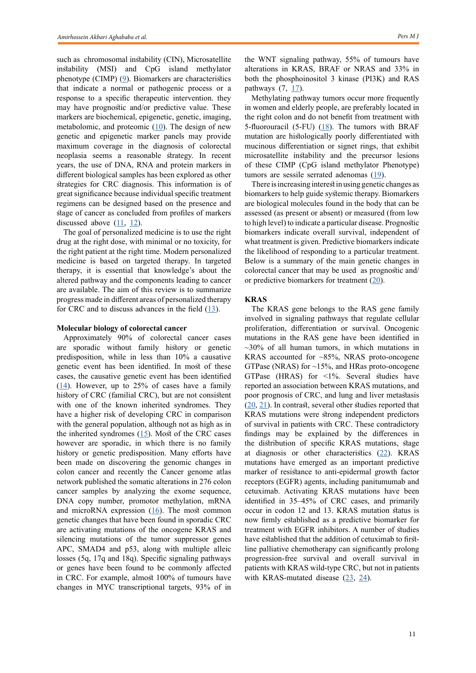such as chromosomal instability (CIN), Microsatellite instability (MSI) and CpG island methylator phenotype (CIMP) [\(9](9.	Ewing I, Hurley JJ, Josephides E, Millar A. The molecular genetics of colorectal cancer. Frontline gastroenterology. 2014 Jan 1;5(1):26-30)). Biomarkers are characteristics that indicate a normal or pathogenic process or a response to a specific therapeutic intervention. they may have prognostic and/or predictive value. These markers are biochemical, epigenetic, genetic, imaging, metabolomic, and proteomic  $(10)$  $(10)$ . The design of new genetic and epigenetic marker panels may provide maximum coverage in the diagnosis of colorectal neoplasia seems a reasonable strategy. In recent years, the use of DNA, RNA and protein markers in different biological samples has been explored as other strategies for CRC diagnosis. This information is of great significance because individual specific treatment regimens can be designed based on the presence and stage of cancer as concluded from profiles of markers discussed above  $(11, 12)$  $(11, 12)$  $(11, 12)$  $(11, 12)$  $(11, 12)$ .

The goal of personalized medicine is to use the right drug at the right dose, with minimal or no toxicity, for the right patient at the right time. Modern personalized medicine is based on targeted therapy. In targeted therapy, it is essential that knowledge's about the altered pathway and the components leading to cancer are available. The aim of this review is to summarize progress made in different areas of personalized therapy for CRC and to discuss advances in the field  $(13)$  $(13)$ .

## **Molecular biology of colorectal cancer**

Approximately 90% of colorectal cancer cases are sporadic without family history or genetic predisposition, while in less than 10% a causative genetic event has been identified. In most of these cases, the causative genetic event has been identified  $(14)$  $(14)$ . However, up to 25% of cases have a family history of CRC (familial CRC), but are not consistent with one of the known inherited syndromes. They have a higher risk of developing CRC in comparison with the general population, although not as high as in the inherited syndromes  $(15)$  $(15)$ . Most of the CRC cases however are sporadic, in which there is no family history or genetic predisposition. Many efforts have been made on discovering the genomic changes in colon cancer and recently the Cancer genome atlas network published the somatic alterations in 276 colon cancer samples by analyzing the exome sequence, DNA copy number, promotor methylation, mRNA and microRNA expression  $(16)$  $(16)$ . The most common genetic changes that have been found in sporadic CRC are activating mutations of the oncogene KRAS and silencing mutations of the tumor suppressor genes APC, SMAD4 and p53, along with multiple alleic losses (5q, 17q and 18q). Specific signaling pathways or genes have been found to be commonly affected in CRC. For example, almost 100% of tumours have changes in MYC transcriptional targets, 93% of in

the WNT signaling pathway, 55% of tumours have alterations in KRAS, BRAF or NRAS and 33% in both the phosphoinositol 3 kinase (PI3K) and RAS pathways  $(7, 17)$  $(7, 17)$ .

Methylating pathway tumors occur more frequently in women and elderly people, are preferably located in the right colon and do not benefit from treatment with 5-fluorouracil (5-FU)  $(18)$  $(18)$  $(18)$ . The tumors with BRAF mutation are histologically poorly differentiated with mucinous differentiation or signet rings, that exhibit microsatellite instability and the precursor lesions of these CIMP (CpG island methylator Phenotype) tumors are sessile serrated adenomas  $(19)$  $(19)$ .

There is increasing interest in using genetic changes as biomarkers to help guide systemic therapy. Biomarkers are biological molecules found in the body that can be assessed (as present or absent) or measured (from low to high level) to indicate a particular disease. Prognostic biomarkers indicate overall survival, independent of what treatment is given. Predictive biomarkers indicate the likelihood of responding to a particular treatment. Below is a summary of the main genetic changes in colorectal cancer that may be used as prognostic and/ or predictive biomarkers for treatment ([20\)](Kinzler KW, Vogelstein B. Lessons from hereditary colorectal cancer. Cell. 1996 Oct 18;87(2):159-70.).

## **KRAS**

The KRAS gene belongs to the RAS gene family involved in signaling pathways that regulate cellular proliferation, differentiation or survival. Oncogenic mutations in the RAS gene have been identified in  $\sim$ 30% of all human tumors, in which mutations in KRAS accounted for ~85%, NRAS proto-oncogene GTPase (NRAS) for ~15%, and HRas proto-oncogene GTPase (HRAS) for <1%. Several studies have reported an association between KRAS mutations, and poor prognosis of CRC, and lung and liver metastasis [\(20](Kinzler KW, Vogelstein B. Lessons from hereditary colorectal cancer. Cell. 1996 Oct 18;87(2):159-70.), [21](Huang J, Papadopoulos N, McKinley AJ, Farrington SM, Curtis LJ, Wyllie AH, Zheng S, Willson JK, Markowitz SD, Morin P, Kinzler KW. APC mutations in colorectal tumors with mismatch repair deficiency. Proceedings of the National Academy of Sciences. 1996 Aug 20;93(17):9049-54.)). In contrast, several other studies reported that KRAS mutations were strong independent predictors of survival in patients with CRC. These contradictory findings may be explained by the differences in the distribution of specific KRAS mutations, stage at diagnosis or other characteristics ([22\)](Polyak K, Hamilton SR, Vogelstein B, Kinzler KW. Early alteration of cell-cycle-regulated gene expression in colorectal neoplasia. The American journal of pathology. 1996 Aug;149(2):381.). KRAS mutations have emerged as an important predictive marker of resistance to anti-epidermal growth factor receptors (EGFR) agents, including panitumumab and cetuximab. Activating KRAS mutations have been identified in 35–45% of CRC cases, and primarily occur in codon 12 and 13. KRAS mutation status is now firmly established as a predictive biomarker for treatment with EGFR inhibitors. A number of studies have established that the addition of cetuximab to firstline palliative chemotherapy can significantly prolong progression-free survival and overall survival in patients with KRAS wild-type CRC, but not in patients with KRAS-mutated disease [\(23](Bertotti A, Migliardi G, Galimi F, Sassi F, Torti D, Isella C, Corà D, Di Nicolantonio F, Buscarino M, Petti C, Ribero D. A molecularly annotated platform of patient-derived xenografts (“xenopatients”) identifies HER2 as an effective therapeutic target in cetuximab-resistant colorectal cancer. Cancer discovery. 2011 Nov 1;1(6):508-23.), [24](Blanke CD, Goldberg RM, Grothey A, Mooney M, Roach N, Saltz LB, Welch JJ, Wood WA, Meropol NJ. KRAS and colorectal cancer: ethical and pragmatic issues in effecting real-time change in oncology clinical trials and practice. The oncologist. 2011 Aug;16(8):1061.)).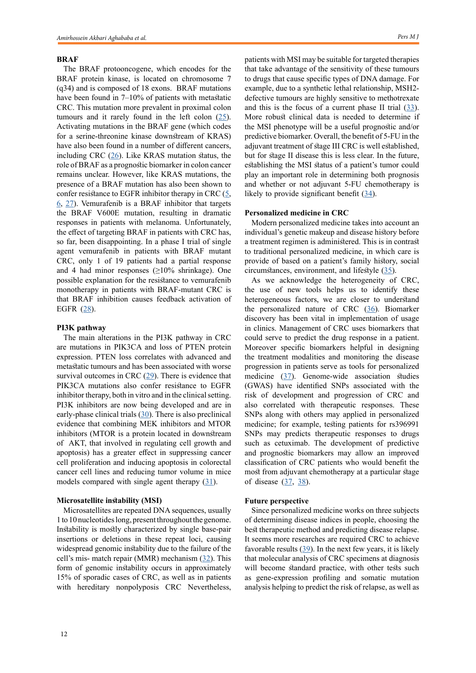#### **BRAF**

The BRAF protooncogene, which encodes for the BRAF protein kinase, is located on chromosome 7 (q34) and is composed of 18 exons. BRAF mutations have been found in 7–10% of patients with metastatic CRC. This mutation more prevalent in proximal colon tumours and it rarely found in the left colon  $(25)$  $(25)$ . Activating mutations in the BRAF gene (which codes for a serine-threonine kinase downstream of KRAS) have also been found in a number of different cancers. including CRC  $(26)$  $(26)$  $(26)$ . Like KRAS mutation status, the role of BRAF as a prognostic biomarker in colon cancer remains unclear. However, like KRAS mutations, the presence of a BRAF mutation has also been shown to confer resistance to EGFR inhibitor therapy in CRC  $(5, 1)$  $(5, 1)$  $(5, 1)$  $6, 27$  $6, 27$  $6, 27$ ). Vemurafenib is a BRAF inhibitor that targets the BRAF V600E mutation, resulting in dramatic responses in patients with melanoma. Unfortunately, the effect of targeting BRAF in patients with CRC has, so far, been disappointing. In a phase I trial of single agent vemurafenib in patients with BRAF mutant CRC, only 1 of 19 patients had a partial response and 4 had minor responses  $(\geq 10\% \text{ shrinkage})$ . One possible explanation for the resistance to vemurafenib monotherapy in patients with BRAF-mutant CRC is that BRAF inhibition causes feedback activation of EGFR ([28](Pander J, Gelderblom H, Antonini NF, Tol J, van Krieken JH, van der Straaten T, Punt CJ, Guchelaar HJ. Correlation of FCGR3A and EGFR germline polymorphisms with the efficacy of cetuximab in KRAS wild-type metastatic colorectal cancer. European journal of cancer. 2010 Jul 1;46(10):1829-34.)).

## **PI3K pathway**

The main alterations in the PI3K pathway in CRC are mutations in PIK3CA and loss of PTEN protein expression. PTEN loss correlates with advanced and metastatic tumours and has been associated with worse survival outcomes in CRC  $(29)$  $(29)$ . There is evidence that PIK3CA mutations also confer resistance to EGFR inhibitor therapy, both in vitro and in the clinical setting. PI3K inhibitors are now being developed and are in early-phase clinical trials  $(30)$  $(30)$ . There is also preclinical evidence that combining MEK inhibitors and MTOR inhibitors (MTOR is a protein located in downstream of AKT, that involved in regulating cell growth and apoptosis) has a greater effect in suppressing cancer cell proliferation and inducing apoptosis in colorectal cancer cell lines and reducing tumor volume in mice models compared with single agent therapy  $(31)$  $(31)$ .

## **Microsatellite instability (MSI)**

Microsatellites are repeated DNA sequences, usually 1 to 10 nucleotides long, present throughout the genome. Instability is mostly characterized by single base-pair insertions or deletions in these repeat loci, causing widespread genomic instability due to the failure of the cell's mis- match repair (MMR) mechanism [\(32](Bazan V, Migliavacca M, Zanna I, Tubiolo C, Grassi N, Latteri MA, La Farina M, Albanese I, Dardanoni G, Salerno S, Tomasino RM. Specific codon 13 K-ras mutations are predictive of clinical outcome in colorectal cancer patients, whereas codon 12 K-ras mutations are associated with mucinous histotype. Annals of Oncology. 2002 Sep 1;13(9):1438-46)). This form of genomic instability occurs in approximately 15% of sporadic cases of CRC, as well as in patients with hereditary nonpolyposis CRC Nevertheless,

patients with MSI may be suitable for targeted therapies that take advantage of the sensitivity of these tumours to drugs that cause specific types of DNA damage. For example, due to a synthetic lethal relationship, MSH2 defective tumours are highly sensitive to methotrexate and this is the focus of a current phase II trial  $(33)$  $(33)$ . More robust clinical data is needed to determine if the MSI phenotype will be a useful prognostic and/or predictive biomarker. Overall, the benefit of 5-FU in the adjuvant treatment of stage III CRC is well established, but for stage II disease this is less clear. In the future, establishing the MSI status of a patient's tumor could play an important role in determining both prognosis and whether or not adjuvant 5-FU chemotherapy is likely to provide significant benefit  $(34)$  $(34)$ .

## **Personalized medicine in CRC**

Modern personalized medicine takes into account an individual's genetic makeup and disease history before a treatment regimen is administered. This is in contrast to traditional personalized medicine, in which care is provide of based on a patient's family history, social circumstances, environment, and lifestyle ([35](Jover R, Zapater P, Castells A, Llor X, Andreu M, Cubiella J, Piñol V, Xicola RM, Bujanda L, Reñé JM, Clofent J. Mismatch repair status in the prediction of benefit from adjuvant fluorouracil chemotherapy in colorectal cancer. Gut. 2006 Jun 1;55(6):848-55.)).

As we acknowledge the heterogeneity of CRC, the use of new tools helps us to identify these heterogeneous factors, we are closer to understand the personalized nature of CRC  $(36)$  $(36)$ . Biomarker discovery has been vital in implementation of usage in clinics. Management of CRC uses biomarkers that could serve to predict the drug response in a patient. Moreover specific biomarkers helpful in designing the treatment modalities and monitoring the disease progression in patients serve as tools for personalized medicine ([37](Moertel CG, Fleming TR, Macdonald JS, Haller DG, Laurie JA, Goodman PJ, Ungerleider JS, Emerson WA, Tormey DC, Glick JH, Veeder MH. Levamisole and fluorouracil for adjuvant therapy of resected colon carcinoma. New England Journal of Medicine. 1990 Feb 8;322(6):352-8.)). Genome-wide association studies (GWAS) have identified SNPs associated with the risk of development and progression of CRC and also correlated with therapeutic responses. These SNPs along with others may applied in personalized medicine; for example, testing patients for rs396991 SNPs may predicts therapeutic responses to drugs such as cetuximab. The development of predictive and prognostic biomarkers may allow an improved classification of CRC patients who would benefit the most from adjuvant chemotherapy at a particular stage of disease ([37,](Moertel CG, Fleming TR, Macdonald JS, Haller DG, Laurie JA, Goodman PJ, Ungerleider JS, Emerson WA, Tormey DC, Glick JH, Veeder MH. Levamisole and fluorouracil for adjuvant therapy of resected colon carcinoma. New England Journal of Medicine. 1990 Feb 8;322(6):352-8.) [38\)](Ma Y, Zhang P, Wang F, Liu W, Yang J, Qin H. An integrated proteomics and metabolomics approach for defining oncofetal biomarkers in the colorectal cancer. Annals of surgery. 2012 Apr 1;255(4):720-30.).

# **Future perspective**

Since personalized medicine works on three subjects of determining disease indices in people, choosing the best therapeutic method and predicting disease relapse. It seems more researches are required CRC to achieve favorable results  $(39)$  $(39)$ . In the next few years, it is likely that molecular analysis of CRC specimens at diagnosis will become standard practice, with other tests such as gene-expression profiling and somatic mutation analysis helping to predict the risk of relapse, as well as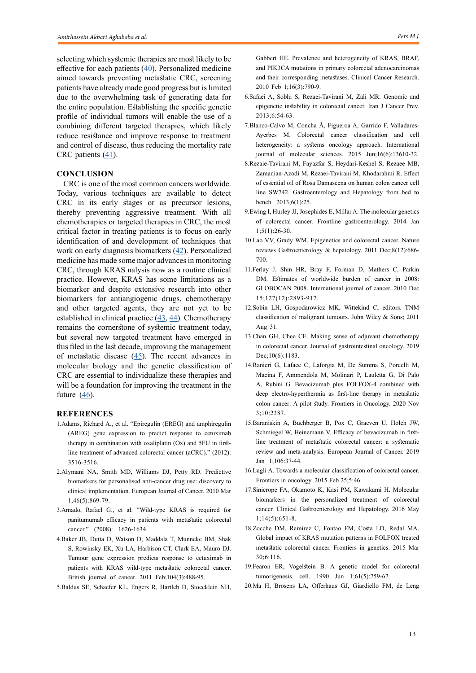selecting which systemic therapies are most likely to be effective for each patients  $(40)$  $(40)$  $(40)$ . Personalized medicine aimed towards preventing metastatic CRC, screening patients have already made good progress but is limited due to the overwhelming task of generating data for the entire population. Establishing the specific genetic profile of individual tumors will enable the use of a combining different targeted therapies, which likely reduce resistance and improve response to treatment and control of disease, thus reducing the mortality rate CRC patients  $(41)$  $(41)$ .

## **CONCLUSION**

CRC is one of the most common cancers worldwide. Today, various techniques are available to detect CRC in its early stages or as precursor lesions, thereby preventing aggressive treatment. With all chemotherapies or targeted therapies in CRC, the most critical factor in treating patients is to focus on early identification of and development of techniques that work on early diagnosis biomarkers ([42\)](Sebio A, Stintzing S, Stremitzer S, Zhang W, Lenz HJ. Panitumumab: leading to better overall survival in metastatic colorectal cancer?. Expert opinion on biological therapy. 2014 Apr 1;14(4):535-48.). Personalized medicine has made some major advances in monitoring CRC, through KRAS nalysis now as a routine clinical practice. However, KRAS has some limitations as a biomarker and despite extensive research into other biomarkers for antiangiogenic drugs, chemotherapy and other targeted agents, they are not yet to be established in clinical practice  $(43, 44)$  $(43, 44)$  $(43, 44)$  $(43, 44)$ . Chemotherapy remains the cornerstone of systemic treatment today, but several new targeted treatment have emerged in this filed in the last decade, improving the management of metastatic disease ([45\)](Newton KF, Newman W, Hill J. Review of biomarkers in colorectal cancer. Colorectal disease. 2012 Jan;14(1):3-17.). The recent advances in molecular biology and the genetic classification of CRC are essential to individualize these therapies and will be a foundation for improving the treatment in the future  $(46)$  $(46)$ .

## **REFERENCES**

- 1.Adams, Richard A., et al. "Epiregulin (EREG) and amphiregulin (AREG) gene expression to predict response to cetuximab therapy in combination with oxaliplatin (Ox) and 5FU in firstline treatment of advanced colorectal cancer (aCRC)." (2012): 3516-3516.
- 2.Alymani NA, Smith MD, Williams DJ, Petty RD. Predictive biomarkers for personalised anti-cancer drug use: discovery to clinical implementation. European Journal of Cancer. 2010 Mar 1;46(5):869-79.
- 3.Amado, Rafael G., et al. "Wild-type KRAS is required for panitumumab efficacy in patients with metastatic colorectal cancer." (2008): 1626-1634.
- 4.Baker JB, Dutta D, Watson D, Maddala T, Munneke BM, Shak S, Rowinsky EK, Xu LA, Harbison CT, Clark EA, Mauro DJ. Tumour gene expression predicts response to cetuximab in patients with KRAS wild-type metastatic colorectal cancer. British journal of cancer. 2011 Feb;104(3):488-95.
- 5.Baldus SE, Schaefer KL, Engers R, Hartleb D, Stoecklein NH,

Gabbert HE. Prevalence and heterogeneity of KRAS, BRAF, and PIK3CA mutations in primary colorectal adenocarcinomas and their corresponding metastases. Clinical Cancer Research. 2010 Feb 1;16(3):790-9.

- 6.Safaei A, Sobhi S, Rezaei-Tavirani M, Zali MR. Genomic and epigenetic instability in colorectal cancer. Iran J Cancer Prev. 2013;6:54-63.
- 7.Blanco-Calvo M, Concha Á, Figueroa A, Garrido F, Valladares-Ayerbes M. Colorectal cancer classification and cell heterogeneity: a systems oncology approach. International journal of molecular sciences. 2015 Jun;16(6):13610-32.
- 8.Rezaie-Tavirani M, Fayazfar S, Heydari-Keshel S, Rezaee MB, Zamanian-Azodi M, Rezaei-Tavirani M, Khodarahmi R. Effect of essential oil of Rosa Damascena on human colon cancer cell line SW742. Gastroenterology and Hepatology from bed to bench. 2013;6(1):25.
- 9.Ewing I, Hurley JJ, Josephides E, Millar A. The molecular genetics of colorectal cancer. Frontline gastroenterology. 2014 Jan 1;5(1):26-30.
- 10.Lao VV, Grady WM. Epigenetics and colorectal cancer. Nature reviews Gastroenterology & hepatology. 2011 Dec;8(12):686- 700.
- 11.Ferlay J, Shin HR, Bray F, Forman D, Mathers C, Parkin DM. Estimates of worldwide burden of cancer in 2008: GLOBOCAN 2008. International journal of cancer. 2010 Dec 15;127(12):2893-917.
- 12.Sobin LH, Gospodarowicz MK, Wittekind C, editors. TNM classification of malignant tumours. John Wiley & Sons; 2011 Aug 31.
- 13.Chan GH, Chee CE. Making sense of adjuvant chemotherapy in colorectal cancer. Journal of gastrointestinal oncology. 2019 Dec;10(6):1183.
- 14.Ranieri G, Laface C, Laforgia M, De Summa S, Porcelli M, Macina F, Ammendola M, Molinari P, Lauletta G, Di Palo A, Rubini G. Bevacizumab plus FOLFOX-4 combined with deep electro-hyperthermia as first-line therapy in metastatic colon cancer: A pilot study. Frontiers in Oncology. 2020 Nov 3;10:2387.
- 15.Baraniskin A, Buchberger B, Pox C, Graeven U, Holch JW, Schmiegel W, Heinemann V. Efficacy of bevacizumab in firstline treatment of metastatic colorectal cancer: a systematic review and meta-analysis. European Journal of Cancer. 2019 Jan 1;106:37-44.
- 16.Lugli A. Towards a molecular classification of colorectal cancer. Frontiers in oncology. 2015 Feb 25;5:46.
- 17.Sinicrope FA, Okamoto K, Kasi PM, Kawakami H. Molecular biomarkers in the personalized treatment of colorectal cancer. Clinical Gastroenterology and Hepatology. 2016 May 1;14(5):651-8.
- 18.Zocche DM, Ramirez C, Fontao FM, Costa LD, Redal MA. Global impact of KRAS mutation patterns in FOLFOX treated metastatic colorectal cancer. Frontiers in genetics. 2015 Mar 30;6:116.
- 19.Fearon ER, Vogelstein B. A genetic model for colorectal tumorigenesis. cell. 1990 Jun 1;61(5):759-67.
- 20.Ma H, Brosens LA, Offerhaus GJ, Giardiello FM, de Leng